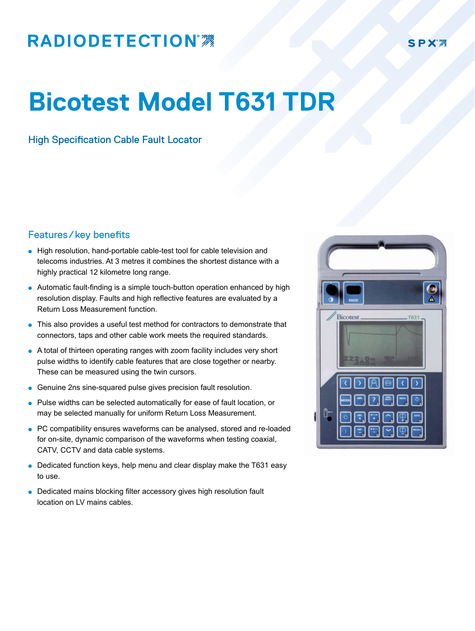## **RADIODETECTION®**

## **Bicotest Model T631 TDR**

High Specification Cable Fault Locator

## Features/key benefits

- High resolution, hand-portable cable-test tool for cable television and telecoms industries. At 3 metres it combines the shortest distance with a highly practical 12 kilometre long range.
- $\bullet$  Automatic fault-finding is a simple touch-button operation enhanced by high resolution display. Faults and high reflective features are evaluated by a Return Loss Measurement function.
- This also provides a useful test method for contractors to demonstrate that connectors, taps and other cable work meets the required standards.
- A total of thirteen operating ranges with zoom facility includes very short pulse widths to identify cable features that are close together or nearby. These can be measured using the twin cursors.
- **.** Genuine 2ns sine-squared pulse gives precision fault resolution.
- Pulse widths can be selected automatically for ease of fault location, or may be selected manually for uniform Return Loss Measurement.
- PC compatibility ensures waveforms can be analysed, stored and re-loaded for on-site, dynamic comparison of the waveforms when testing coaxial, CATV, CCTV and data cable systems.
- Dedicated function keys, help menu and clear display make the T631 easy to use.
- Dedicated mains blocking filter accessory gives high resolution fault location on LV mains cables.